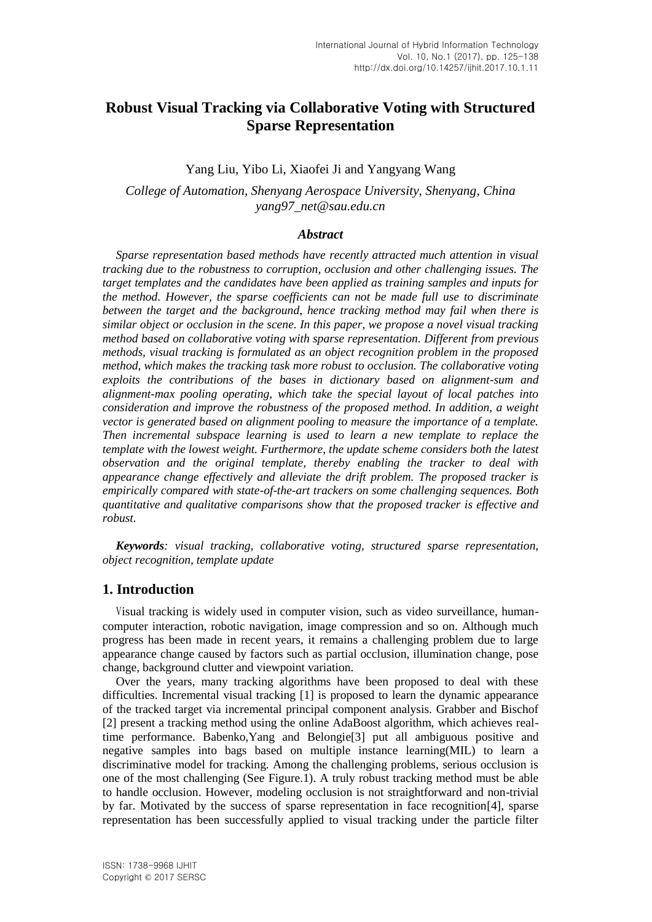# **Robust Visual Tracking via Collaborative Voting with Structured Sparse Representation**

### Yang Liu, Yibo Li, Xiaofei Ji and Yangyang Wang

*College of Automation, Shenyang Aerospace University, Shenyang, China yang97\_net@sau.edu.cn*

### *Abstract*

*Sparse representation based methods have recently attracted much attention in visual tracking due to the robustness to corruption, occlusion and other challenging issues. The target templates and the candidates have been applied as training samples and inputs for the method. However, the sparse coefficients can not be made full use to discriminate between the target and the background, hence tracking method may fail when there is similar object or occlusion in the scene. In this paper, we propose a novel visual tracking method based on collaborative voting with sparse representation. Different from previous methods, visual tracking is formulated as an object recognition problem in the proposed method, which makes the tracking task more robust to occlusion. The collaborative voting exploits the contributions of the bases in dictionary based on alignment-sum and alignment-max pooling operating, which take the special layout of local patches into consideration and improve the robustness of the proposed method. In addition, a weight vector is generated based on alignment pooling to measure the importance of a template. Then incremental subspace learning is used to learn a new template to replace the template with the lowest weight. Furthermore, the update scheme considers both the latest observation and the original template, thereby enabling the tracker to deal with appearance change effectively and alleviate the drift problem. The proposed tracker is empirically compared with state-of-the-art trackers on some challenging sequences. Both quantitative and qualitative comparisons show that the proposed tracker is effective and robust.*

*Keywords: visual tracking, collaborative voting, structured sparse representation, object recognition, template update*

### **1. Introduction**

Visual tracking is widely used in computer vision, such as video surveillance, humancomputer interaction, robotic navigation, image compression and so on. Although much progress has been made in recent years, it remains a challenging problem due to large appearance change caused by factors such as partial occlusion, illumination change, pose change, background clutter and viewpoint variation.

Over the years, many tracking algorithms have been proposed to deal with these difficulties. Incremental visual tracking [1] is proposed to learn the dynamic appearance of the tracked target via incremental principal component analysis. Grabber and Bischof [2] present a tracking method using the online AdaBoost algorithm, which achieves realtime performance. Babenko,Yang and Belongie[3] put all ambiguous positive and negative samples into bags based on multiple instance learning(MIL) to learn a discriminative model for tracking. Among the challenging problems, serious occlusion is one of the most challenging (See Figure.1). A truly robust tracking method must be able to handle occlusion. However, modeling occlusion is not straightforward and non-trivial by far. Motivated by the success of sparse representation in face recognition[4], sparse representation has been successfully applied to visual tracking under the particle filter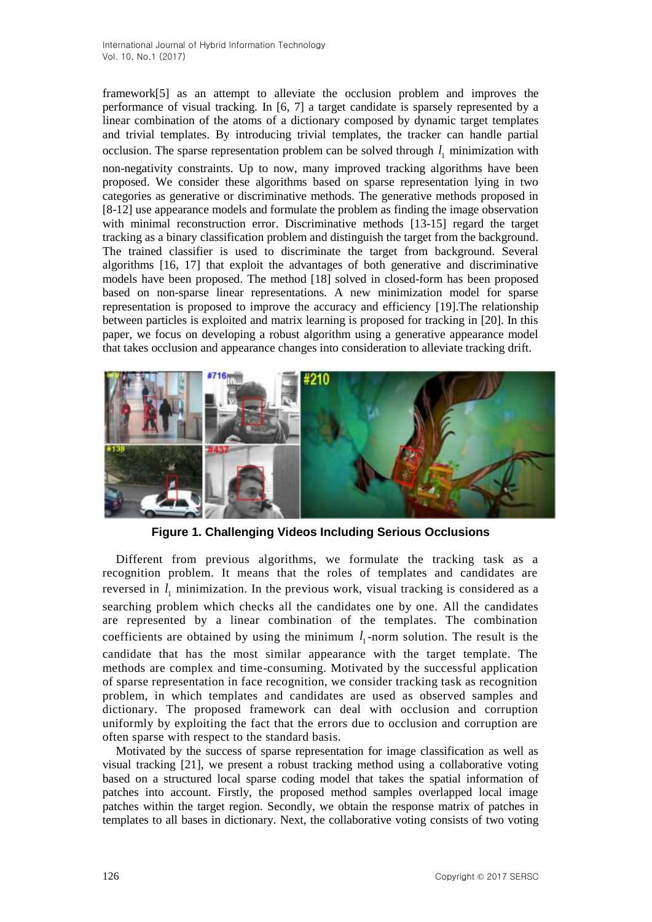framework[5] as an attempt to alleviate the occlusion problem and improves the performance of visual tracking. In [6, 7] a target candidate is sparsely represented by a linear combination of the atoms of a dictionary composed by dynamic target templates and trivial templates. By introducing trivial templates, the tracker can handle partial occlusion. The sparse representation problem can be solved through  $l_1$  minimization with non-negativity constraints. Up to now, many improved tracking algorithms have been proposed. We consider these algorithms based on sparse representation lying in two categories as generative or discriminative methods. The generative methods proposed in [8-12] use appearance models and formulate the problem as finding the image observation with minimal reconstruction error. Discriminative methods [13-15] regard the target tracking as a binary classification problem and distinguish the target from the background. The trained classifier is used to discriminate the target from background. Several algorithms [16, 17] that exploit the advantages of both generative and discriminative models have been proposed. The method [18] solved in closed-form has been proposed based on non-sparse linear representations. A new minimization model for sparse representation is proposed to improve the accuracy and efficiency [19].The relationship between particles is exploited and matrix learning is proposed for tracking in [20]. In this paper, we focus on developing a robust algorithm using a generative appearance model that takes occlusion and appearance changes into consideration to alleviate tracking drift.



**Figure 1. Challenging Videos Including Serious Occlusions**

Different from previous algorithms, we formulate the tracking task as a recognition problem. It means that the roles of templates and candidates are reversed in  $l_1$  minimization. In the previous work, visual tracking is considered as a searching problem which checks all the candidates one by one. All the candidates are represented by a linear combination of the templates. The combination coefficients are obtained by using the minimum  $l_1$ -norm solution. The result is the candidate that has the most similar appearance with the target template. The methods are complex and time-consuming. Motivated by the successful application of sparse representation in face recognition, we consider tracking task as recognition problem, in which templates and candidates are used as observed samples and dictionary. The proposed framework can deal with occlusion and corruption uniformly by exploiting the fact that the errors due to occlusion and corruption are often sparse with respect to the standard basis.

Motivated by the success of sparse representation for image classification as well as visual tracking [21], we present a robust tracking method using a collaborative voting based on a structured local sparse coding model that takes the spatial information of patches into account. Firstly, the proposed method samples overlapped local image patches within the target region. Secondly, we obtain the response matrix of patches in templates to all bases in dictionary. Next, the collaborative voting consists of two voting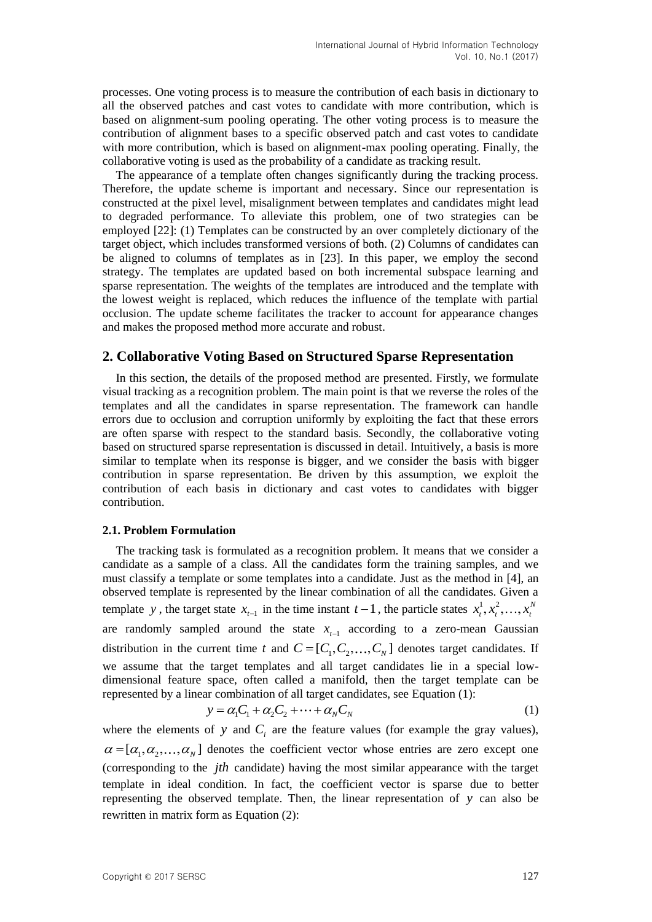processes. One voting process is to measure the contribution of each basis in dictionary to all the observed patches and cast votes to candidate with more contribution, which is based on alignment-sum pooling operating. The other voting process is to measure the contribution of alignment bases to a specific observed patch and cast votes to candidate with more contribution, which is based on alignment-max pooling operating. Finally, the collaborative voting is used as the probability of a candidate as tracking result.

The appearance of a template often changes significantly during the tracking process. Therefore, the update scheme is important and necessary. Since our representation is constructed at the pixel level, misalignment between templates and candidates might lead to degraded performance. To alleviate this problem, one of two strategies can be employed [22]: (1) Templates can be constructed by an over completely dictionary of the target object, which includes transformed versions of both. (2) Columns of candidates can be aligned to columns of templates as in [23]. In this paper, we employ the second strategy. The templates are updated based on both incremental subspace learning and sparse representation. The weights of the templates are introduced and the template with the lowest weight is replaced, which reduces the influence of the template with partial occlusion. The update scheme facilitates the tracker to account for appearance changes and makes the proposed method more accurate and robust.

### **2. Collaborative Voting Based on Structured Sparse Representation**

In this section, the details of the proposed method are presented. Firstly, we formulate visual tracking as a recognition problem. The main point is that we reverse the roles of the templates and all the candidates in sparse representation. The framework can handle errors due to occlusion and corruption uniformly by exploiting the fact that these errors are often sparse with respect to the standard basis. Secondly, the collaborative voting based on structured sparse representation is discussed in detail. Intuitively, a basis is more similar to template when its response is bigger, and we consider the basis with bigger contribution in sparse representation. Be driven by this assumption, we exploit the contribution of each basis in dictionary and cast votes to candidates with bigger contribution.

#### **2.1. Problem Formulation**

The tracking task is formulated as a recognition problem. It means that we consider a candidate as a sample of a class. All the candidates form the training samples, and we must classify a template or some templates into a candidate. Just as the method in [4], an observed template is represented by the linear combination of all the candidates. Given a template y, the target state  $x_{t-1}$  in the time instant  $t-1$ , the particle states  $x_t^1, x_t^2, \ldots, x_t^N$ are randomly sampled around the state  $x_{t-1}$  according to a zero-mean Gaussian distribution in the current time t and  $C = [C_1, C_2, ..., C_N]$  denotes target candidates. If we assume that the target templates and all target candidates lie in a special lowdimensional feature space, often called a manifold, then the target template can be represented by a linear combination of all target candidates, see Equation (1):<br>  $y = \alpha_1 C_1 + \alpha_2 C_2 + \dots + \alpha_N C_N$  (1)

$$
y = \alpha_1 C_1 + \alpha_2 C_2 + \dots + \alpha_N C_N \tag{1}
$$

where the elements of  $y$  and  $C_i$  are the feature values (for example the gray values),  $\alpha = [\alpha_1, \alpha_2, ..., \alpha_N]$  denotes the coefficient vector whose entries are zero except one (corresponding to the *jth* candidate) having the most similar appearance with the target template in ideal condition. In fact, the coefficient vector is sparse due to better representing the observed template. Then, the linear representation of *y* can also be rewritten in matrix form as Equation (2):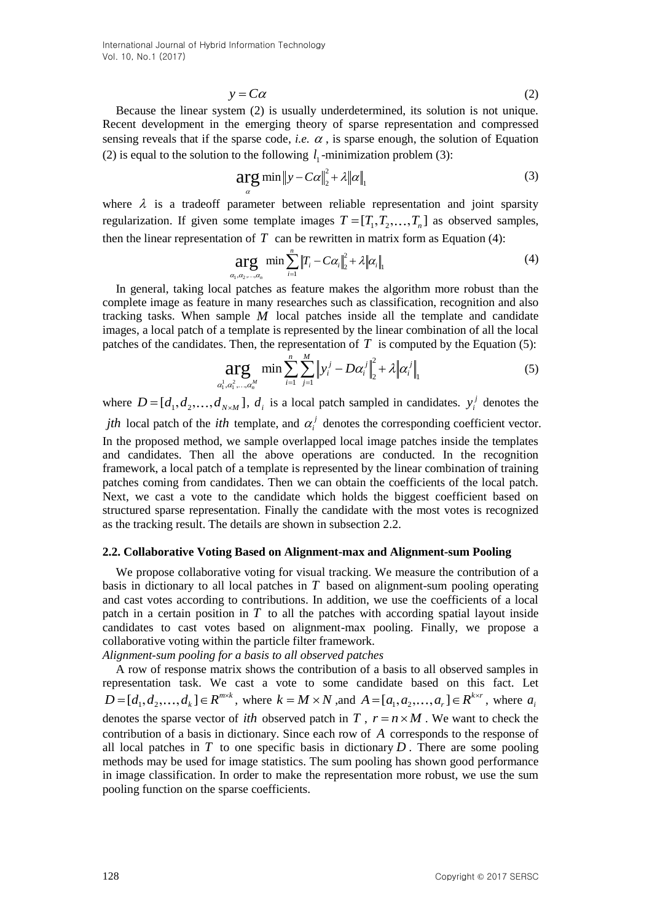International Journal of Hybrid Information Technology Vol. 10, No.1 (2017)

α

$$
y = C\alpha \tag{2}
$$

Because the linear system (2) is usually underdetermined, its solution is not unique. Recent development in the emerging theory of sparse representation and compressed sensing reveals that if the sparse code, *i.e.*  $\alpha$ , is sparse enough, the solution of Equation (2) is equal to the solution to the following  $l_1$ -minimization problem (3):

$$
\arg\min \|y - C\alpha\|_2^2 + \lambda \|\alpha\|_1
$$
 (3)

where  $\lambda$  is a tradeoff parameter between reliable representation and joint sparsity regularization. If given some template images  $T = [T_1, T_2, ..., T_n]$  as observed samples, then the linear representation of  $T$  can be rewritten in matrix form as Equation (4):

$$
\underset{\alpha_{1},\alpha_{2},...,\alpha_{n}}{\arg \min} \sum_{i=1}^{n} \left\|T_{i}-C\alpha_{i}\right\|_{2}^{2} + \lambda \left\|\alpha_{i}\right\|_{1}
$$
\n(4)

In general, taking local patches as feature makes the algorithm more robust than the complete image as feature in many researches such as classification, recognition and also tracking tasks. When sample  $M$  local patches inside all the template and candidate images, a local patch of a template is represented by the linear combination of all the local

patches of the candidates. Then, the representation of *T* is computed by the Equation (5):  

$$
\mathbf{arg} \min \sum_{a_i^1, a_i^2, \dots, a_n^M} \sum_{i=1}^n \left\| y_i^j - D\alpha_i^j \right\|_2^2 + \lambda \left\| \alpha_i^j \right\|_1
$$
(5)

where  $D = [d_1, d_2, ..., d_{N \times M}]$ ,  $d_i$  is a local patch sampled in candidates.  $y_i^j$  $y_i^j$  denotes the

*jth* local patch of the *ith* template, and  $\alpha_i^j$  denotes the corresponding coefficient vector. In the proposed method, we sample overlapped local image patches inside the templates and candidates. Then all the above operations are conducted. In the recognition framework, a local patch of a template is represented by the linear combination of training patches coming from candidates. Then we can obtain the coefficients of the local patch. Next, we cast a vote to the candidate which holds the biggest coefficient based on structured sparse representation. Finally the candidate with the most votes is recognized as the tracking result. The details are shown in subsection 2.2.

#### **2.2. Collaborative Voting Based on Alignment-max and Alignment-sum Pooling**

We propose collaborative voting for visual tracking. We measure the contribution of a basis in dictionary to all local patches in  $T$  based on alignment-sum pooling operating and cast votes according to contributions. In addition, we use the coefficients of a local patch in a certain position in  $T$  to all the patches with according spatial layout inside candidates to cast votes based on alignment-max pooling. Finally, we propose a collaborative voting within the particle filter framework.

*Alignment-sum pooling for a basis to all observed patches*

Because the linear syr  $f_{\rm C}$  (2)<br>Because the linear syr of  $Q$  is usually underdetermined, its solution is not unique,<br>exert) developement in the coney from the exert) appear representation and compressed<br>exert) depend A row of response matrix shows the contribution of a basis to all observed samples in representation task. We cast a vote to some candidate based on this fact. Let  $D = [d_1, d_2, ..., d_k] \in R^{m \times k}$ , where  $k = M \times N$ , and  $A = [a_1, a_2, ..., a_r] \in R^{k \times r}$ , where  $a_i$ denotes the sparse vector of *ith* observed patch in  $T$ ,  $r = n \times M$ . We want to check the contribution of a basis in dictionary. Since each row of *A* corresponds to the response of all local patches in  $T$  to one specific basis in dictionary  $D$ . There are some pooling methods may be used for image statistics. The sum pooling has shown good performance in image classification. In order to make the representation more robust, we use the sum pooling function on the sparse coefficients.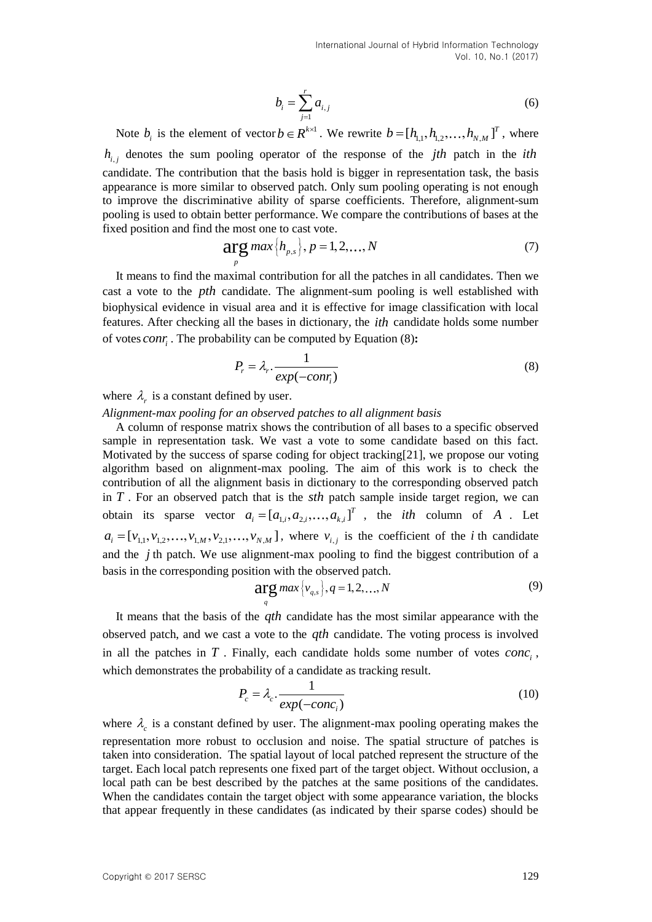$$
b_i = \sum_{j=1}^r a_{i,j} \tag{6}
$$

Note  $b_i$  is the element of vector  $b \in R^{k \times 1}$ . We rewrite  $b = [h_{1,1}, h_{1,2},..., h_{N,M}]^T$ , where  $h_{i,j}$  denotes the sum pooling operator of the response of the *jth* patch in the *ith* candidate. The contribution that the basis hold is bigger in representation task, the basis appearance is more similar to observed patch. Only sum pooling operating is not enough to improve the discriminative ability of sparse coefficients. Therefore, alignment-sum pooling is used to obtain better performance. We compare the contributions of bases at the fixed position and find the most one to cast vote.<br>  $\arg max \{h_{p,s}\}, p = 1, 2, ..., N$ 

$$
\underset{p}{\text{arg max}} \{h_{p,s}\}, p = 1, 2, ..., N \tag{7}
$$

It means to find the maximal contribution for all the patches in all candidates. Then we cast a vote to the *pth* candidate. The alignment-sum pooling is well established with biophysical evidence in visual area and it is effective for image classification with local features. After checking all the bases in dictionary, the *ith* candidate holds some number of votes *conr*<sub>*i*</sub>. The probability can be computed by Equation (8):

$$
P_r = \lambda_r \cdot \frac{1}{exp(-conr_i)}
$$
\n(8)

where  $\lambda$ <sub>r</sub> is a constant defined by user.

*Alignment-max pooling for an observed patches to all alignment basis*

A column of response matrix shows the contribution of all bases to a specific observed sample in representation task. We vast a vote to some candidate based on this fact. Motivated by the success of sparse coding for object tracking[21], we propose our voting algorithm based on alignment-max pooling. The aim of this work is to check the contribution of all the alignment basis in dictionary to the corresponding observed patch in *T* . For an observed patch that is the *sth* patch sample inside target region, we can obtain its sparse vector  $a_i = [a_{1,i}, a_{2,i},..., a_{k,i}]^T$ , the *ith* column of A. Let botain its sparse vector  $a_i = [a_{1,i}, a_{2,i},..., a_{k,i}]$ , the *i*m column of *A*. Let  $a_i = [v_{1,1}, v_{1,2},..., v_{1,M}, v_{2,1},..., v_{N,M}]$ , where  $v_{i,j}$  is the coefficient of the *i* th candidate and the  $j$ <sup>th</sup> patch. We use alignment-max pooling to find the biggest contribution of a basis in the corresponding position with the observed patch.<br>  $\arg max \{v_{q,s}\}, q = 1, 2, ..., N$ 

$$
\underset{q}{\text{arg max}} \left\{ v_{q,s} \right\}, q = 1, 2, \dots, N \tag{9}
$$

It means that the basis of the *qth* candidate has the most similar appearance with the observed patch, and we cast a vote to the *qth* candidate. The voting process is involved in all the patches in  $T$ . Finally, each candidate holds some number of votes  $conc_i$ , which demonstrates the probability of a candidate as tracking result.

$$
P_c = \lambda_c \cdot \frac{1}{exp(-cone_i)}
$$
\n(10)

where  $\lambda_c$  is a constant defined by user. The alignment-max pooling operating makes the representation more robust to occlusion and noise. The spatial structure of patches is taken into consideration. The spatial layout of local patched represent the structure of the target. Each local patch represents one fixed part of the target object. Without occlusion, a local path can be best described by the patches at the same positions of the candidates. When the candidates contain the target object with some appearance variation, the blocks that appear frequently in these candidates (as indicated by their sparse codes) should be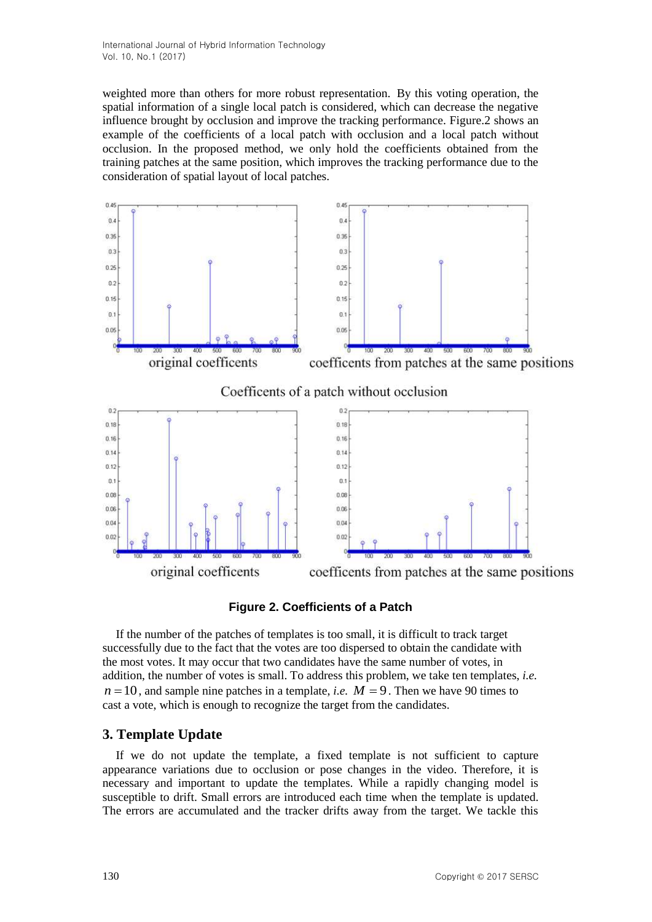weighted more than others for more robust representation. By this voting operation, the spatial information of a single local patch is considered, which can decrease the negative influence brought by occlusion and improve the tracking performance. Figure.2 shows an example of the coefficients of a local patch with occlusion and a local patch without occlusion. In the proposed method, we only hold the coefficients obtained from the training patches at the same position, which improves the tracking performance due to the consideration of spatial layout of local patches.



### **Figure 2. Coefficients of a Patch**

If the number of the patches of templates is too small, it is difficult to track target successfully due to the fact that the votes are too dispersed to obtain the candidate with the most votes. It may occur that two candidates have the same number of votes, in addition, the number of votes is small. To address this problem, we take ten templates, *i.e.*  $n = 10$ , and sample nine patches in a template, *i.e.*  $M = 9$ . Then we have 90 times to cast a vote, which is enough to recognize the target from the candidates.

# **3. Template Update**

If we do not update the template, a fixed template is not sufficient to capture appearance variations due to occlusion or pose changes in the video. Therefore, it is necessary and important to update the templates. While a rapidly changing model is susceptible to drift. Small errors are introduced each time when the template is updated. The errors are accumulated and the tracker drifts away from the target. We tackle this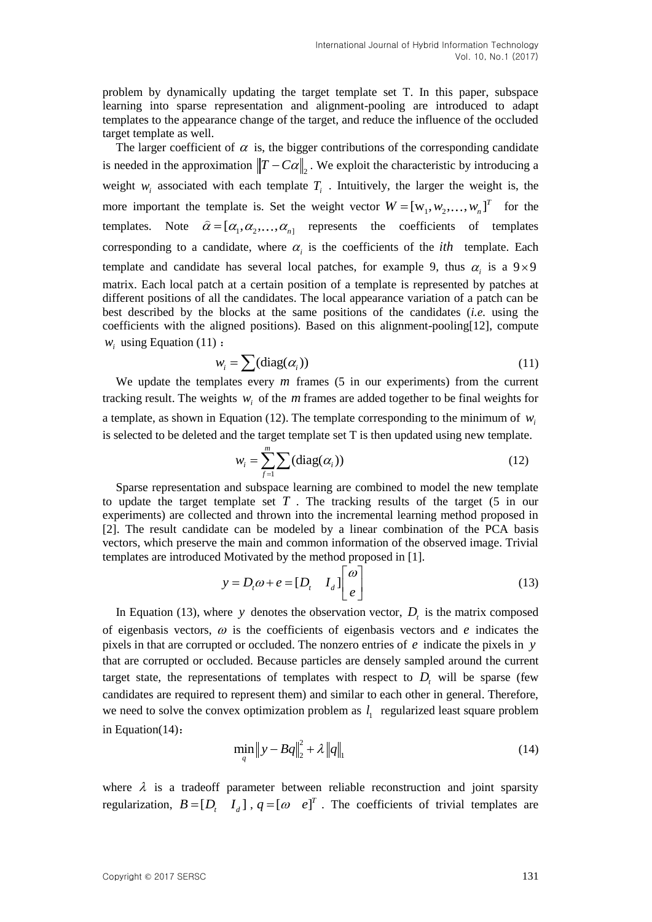problem by dynamically updating the target template set T. In this paper, subspace learning into sparse representation and alignment-pooling are introduced to adapt templates to the appearance change of the target, and reduce the influence of the occluded target template as well.

The larger coefficient of  $\alpha$  is, the bigger contributions of the corresponding candidate is needed in the approximation  $||T - C\alpha||_2$ . We exploit the characteristic by introducing a weight  $w_i$  associated with each template  $T_i$ . Intuitively, the larger the weight is, the more important the template is. Set the weight vector  $W = [w_1, w_2, \dots, w_n]^T$  for the templates.  $\hat{\alpha} = [\alpha_1, \alpha_2, ..., \alpha_n]$  represents the coefficients of templates corresponding to a candidate, where  $\alpha_i$  is the coefficients of the *ith* template. Each template and candidate has several local patches, for example 9, thus  $\alpha_i$  is a  $9 \times 9$ matrix. Each local patch at a certain position of a template is represented by patches at different positions of all the candidates. The local appearance variation of a patch can be best described by the blocks at the same positions of the candidates (*i.e.* using the coefficients with the aligned positions). Based on this alignment-pooling[12], compute  $w_i$  using Equation (11) :

$$
w_i = \sum (\text{diag}(\alpha_i))
$$
 (11)

We update the templates every  $m$  frames  $(5 \text{ in our experiments})$  from the current tracking result. The weights  $w_i$  of the  $m$  frames are added together to be final weights for a template, as shown in Equation (12). The template corresponding to the minimum of  $w_i$ is selected to be deleted and the target template set T is then updated using new template.

$$
w_i = \sum_{f=1}^{m} \sum (\text{diag}(\alpha_i))
$$
 (12)

Sparse representation and subspace learning are combined to model the new template to update the target template set  $T$ . The tracking results of the target  $(5 \text{ in our})$ experiments) are collected and thrown into the incremental learning method proposed in [2]. The result candidate can be modeled by a linear combination of the PCA basis vectors, which preserve the main and common information of the observed image. Trivial templates are introduced Motivated by the method proposed in [1].<br> $V = D \omega + \epsilon = [D \quad I \quad \begin{bmatrix} \omega \\ \end{bmatrix}$ 

$$
y = D_t \omega + e = [D_t \quad I_d] \begin{bmatrix} \omega \\ e \end{bmatrix}
$$
 (13)

In Equation (13), where y denotes the observation vector,  $D<sub>t</sub>$  is the matrix composed of eigenbasis vectors,  $\omega$  is the coefficients of eigenbasis vectors and  $e$  indicates the pixels in that are corrupted or occluded. The nonzero entries of *e* indicate the pixels in *y* that are corrupted or occluded. Because particles are densely sampled around the current target state, the representations of templates with respect to  $D<sub>t</sub>$  will be sparse (few candidates are required to represent them) and similar to each other in general. Therefore, we need to solve the convex optimization problem as  $l_1$  regularized least square problem in Equation(14):

$$
\min_{q} \|y - Bq\|_{2}^{2} + \lambda \|q\|_{1}
$$
 (14)

where  $\lambda$  is a tradeoff parameter between reliable reconstruction and joint sparsity regularization,  $B = [D_t \quad I_d]$ ,  $q = [\omega \quad e]^T$ . The coefficients of trivial templates are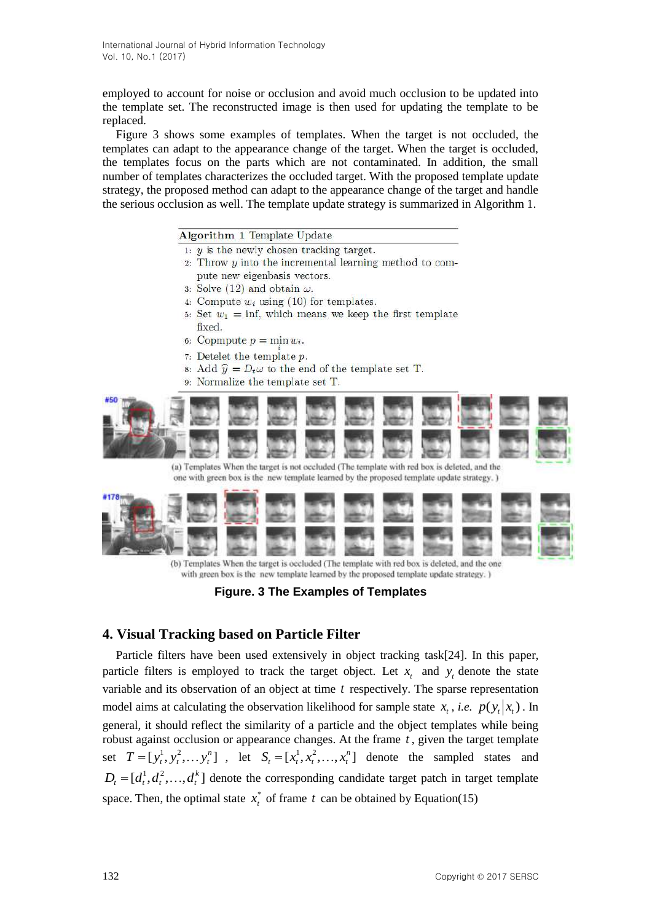employed to account for noise or occlusion and avoid much occlusion to be updated into the template set. The reconstructed image is then used for updating the template to be replaced.

Figure 3 shows some examples of templates. When the target is not occluded, the templates can adapt to the appearance change of the target. When the target is occluded, the templates focus on the parts which are not contaminated. In addition, the small number of templates characterizes the occluded target. With the proposed template update strategy, the proposed method can adapt to the appearance change of the target and handle the serious occlusion as well. The template update strategy is summarized in Algorithm 1.

#### Algorithm 1 Template Update

- 1:  $y$  is the newly chosen tracking target.
- 2. Throw  $y$  into the incremental learning method to compute new eigenbasis vectors.
- 3: Solve (12) and obtain  $\omega$ .
- 4: Compute  $w_i$  using (10) for templates.
- 5: Set  $w_1 = \inf$ , which means we keep the first template fixed.
- 6: Copmpute  $p = \min w_i$ .
- 7: Detelet the template  $p$ .
- s: Add  $\hat{y} = D_t \omega$  to the end of the template set T.
- 9: Normalize the template set T.



(a) Templates When the target is not occluded (The template with red box is deleted, and the one with green box is the new template learned by the proposed template update strategy.)



(b) Templates When the target is occluded (The template with red box is deleted, and the one with green box is the new template learned by the proposed template update strategy. )

**Figure. 3 The Examples of Templates**

### **4. Visual Tracking based on Particle Filter**

Particle filters have been used extensively in object tracking task[24]. In this paper, particle filters is employed to track the target object. Let  $x_t$  and  $y_t$  denote the state variable and its observation of an object at time t respectively. The sparse representation model aims at calculating the observation likelihood for sample state  $x_t$ , *i.e.*  $p(y_t|x_t)$ . In general, it should reflect the similarity of a particle and the object templates while being robust against occlusion or appearance changes. At the frame *t* , given the target template set  $T = [y_i^1, y_i^2, \dots, y_i^n]$ , let  $S_t = [x_i^1, x_i^2, \dots, x_i^n]$  denote the sampled states and  $D_t = [d_t^1, d_t^2, \ldots, d_t^k]$  denote the corresponding candidate target patch in target template space. Then, the optimal state  $x_i^*$  $x_t^*$  of frame t can be obtained by Equation(15)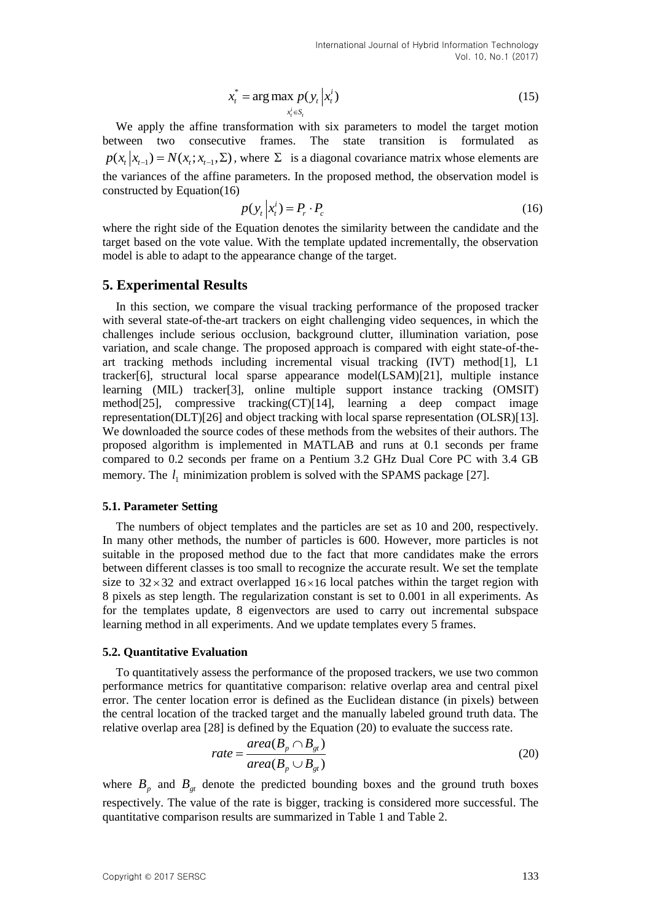$$
x_t^* = \arg \max_{x_t^i \in S_t} p(y_t | x_t^i)
$$
\n(15)

We apply the affine transformation with six parameters to model the target motion between two consecutive frames. The state transition is formulated as  $p(x_t | x_{t-1}) = N(x_t; x_{t-1}, \Sigma)$ , where  $\Sigma$  is a diagonal covariance matrix whose elements are the variances of the affine parameters. In the proposed method, the observation model is constructed by Equation(16)

$$
p(y_t|x_t^i) = P_r \cdot P_c \tag{16}
$$

where the right side of the Equation denotes the similarity between the candidate and the target based on the vote value. With the template updated incrementally, the observation model is able to adapt to the appearance change of the target.

#### **5. Experimental Results**

In this section, we compare the visual tracking performance of the proposed tracker with several state-of-the-art trackers on eight challenging video sequences, in which the challenges include serious occlusion, background clutter, illumination variation, pose variation, and scale change. The proposed approach is compared with eight state-of-theart tracking methods including incremental visual tracking (IVT) method[1], L1 tracker[6], structural local sparse appearance model(LSAM)[21], multiple instance learning (MIL) tracker[3], online multiple support instance tracking (OMSIT) method $[25]$ , compressive tracking (CT) $[14]$ , learning a deep compact image representation(DLT)[26] and object tracking with local sparse representation (OLSR)[13]. We downloaded the source codes of these methods from the websites of their authors. The proposed algorithm is implemented in MATLAB and runs at 0.1 seconds per frame compared to 0.2 seconds per frame on a Pentium 3.2 GHz Dual Core PC with 3.4 GB memory. The  $l_1$  minimization problem is solved with the SPAMS package [27].

#### **5.1. Parameter Setting**

The numbers of object templates and the particles are set as 10 and 200, respectively. In many other methods, the number of particles is 600. However, more particles is not suitable in the proposed method due to the fact that more candidates make the errors between different classes is too small to recognize the accurate result. We set the template size to  $32 \times 32$  and extract overlapped  $16 \times 16$  local patches within the target region with 8 pixels as step length. The regularization constant is set to 0.001 in all experiments. As for the templates update, 8 eigenvectors are used to carry out incremental subspace learning method in all experiments. And we update templates every 5 frames.

#### **5.2. Quantitative Evaluation**

To quantitatively assess the performance of the proposed trackers, we use two common performance metrics for quantitative comparison: relative overlap area and central pixel error. The center location error is defined as the Euclidean distance (in pixels) between the central location of the tracked target and the manually labeled ground truth data. The relative overlap area [28] is defined by the Equation (20) to evaluate the success rate.

rate = 
$$
\frac{area(B_p \cap B_{gt})}{area(B_p \cup B_{gt})}
$$
 (20)

where  $B_p$  and  $B_{gt}$  denote the predicted bounding boxes and the ground truth boxes respectively. The value of the rate is bigger, tracking is considered more successful. The quantitative comparison results are summarized in Table 1 and Table 2.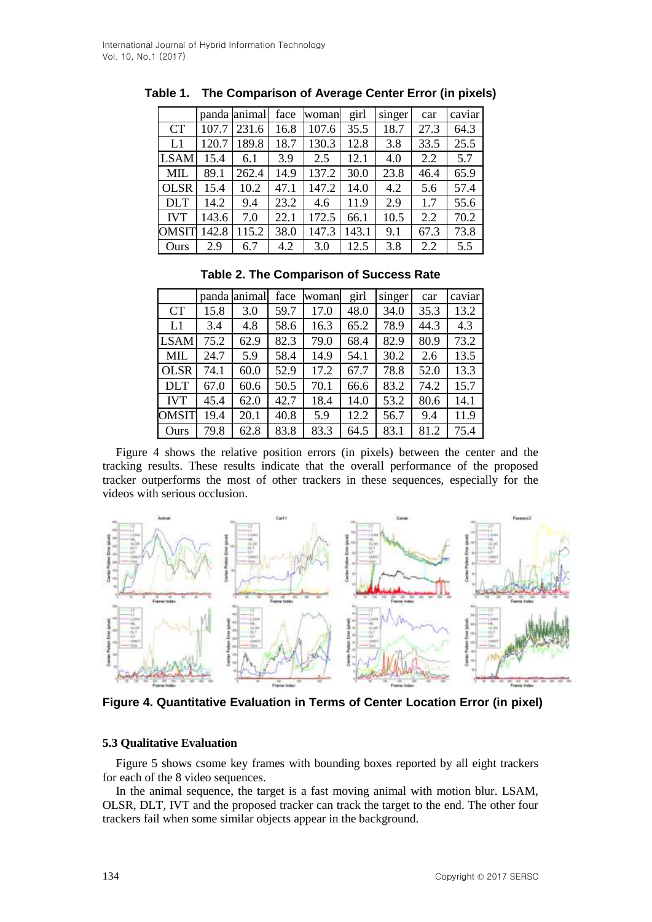|              |       | panda animal | face | woman | girl  | singer | car  | caviar |
|--------------|-------|--------------|------|-------|-------|--------|------|--------|
| <b>CT</b>    | 107.7 | 231.6        | 16.8 | 107.6 | 35.5  | 18.7   | 27.3 | 64.3   |
| L1           | 120.7 | 189.8        | 18.7 | 130.3 | 12.8  | 3.8    | 33.5 | 25.5   |
| <b>LSAM</b>  | 15.4  | 6.1          | 3.9  | 2.5   | 12.1  | 4.0    | 2.2  | 5.7    |
| MIL          | 89.1  | 262.4        | 14.9 | 137.2 | 30.0  | 23.8   | 46.4 | 65.9   |
| <b>OLSR</b>  | 15.4  | 10.2         | 47.1 | 147.2 | 14.0  | 4.2    | 5.6  | 57.4   |
| <b>DLT</b>   | 14.2  | 9.4          | 23.2 | 4.6   | 11.9  | 2.9    | 1.7  | 55.6   |
| <b>IVT</b>   | 143.6 | 7.0          | 22.1 | 172.5 | 66.1  | 10.5   | 2.2  | 70.2   |
| <b>OMSIT</b> | 142.8 | 115.2        | 38.0 | 147.3 | 143.1 | 9.1    | 67.3 | 73.8   |
| Ours         | 2.9   | 6.7          | 4.2  | 3.0   | 12.5  | 3.8    | 2.2  | 5.5    |

**Table 1. The Comparison of Average Center Error (in pixels)**

|  |  | <b>Table 2. The Comparison of Success Rate</b> |  |  |  |
|--|--|------------------------------------------------|--|--|--|
|--|--|------------------------------------------------|--|--|--|

|              |      | panda animal | face | woman | girl | singer | car  | caviar |
|--------------|------|--------------|------|-------|------|--------|------|--------|
| <b>CT</b>    | 15.8 | 3.0          | 59.7 | 17.0  | 48.0 | 34.0   | 35.3 | 13.2   |
| L1           | 3.4  | 4.8          | 58.6 | 16.3  | 65.2 | 78.9   | 44.3 | 4.3    |
| <b>LSAM</b>  | 75.2 | 62.9         | 82.3 | 79.0  | 68.4 | 82.9   | 80.9 | 73.2   |
| <b>MIL</b>   | 24.7 | 5.9          | 58.4 | 14.9  | 54.1 | 30.2   | 2.6  | 13.5   |
| <b>OLSR</b>  | 74.1 | 60.0         | 52.9 | 17.2  | 67.7 | 78.8   | 52.0 | 13.3   |
| <b>DLT</b>   | 67.0 | 60.6         | 50.5 | 70.1  | 66.6 | 83.2   | 74.2 | 15.7   |
| <b>IVT</b>   | 45.4 | 62.0         | 42.7 | 18.4  | 14.0 | 53.2   | 80.6 | 14.1   |
| <b>OMSIT</b> | 19.4 | 20.1         | 40.8 | 5.9   | 12.2 | 56.7   | 9.4  | 11.9   |
| Ours         | 79.8 | 62.8         | 83.8 | 83.3  | 64.5 | 83.1   | 81.2 | 75.4   |

Figure 4 shows the relative position errors (in pixels) between the center and the tracking results. These results indicate that the overall performance of the proposed tracker outperforms the most of other trackers in these sequences, especially for the videos with serious occlusion.



**Figure 4. Quantitative Evaluation in Terms of Center Location Error (in pixel)**

### **5.3 Qualitative Evaluation**

Figure 5 shows csome key frames with bounding boxes reported by all eight trackers for each of the 8 video sequences.

In the animal sequence, the target is a fast moving animal with motion blur. LSAM, OLSR, DLT, IVT and the proposed tracker can track the target to the end. The other four trackers fail when some similar objects appear in the background.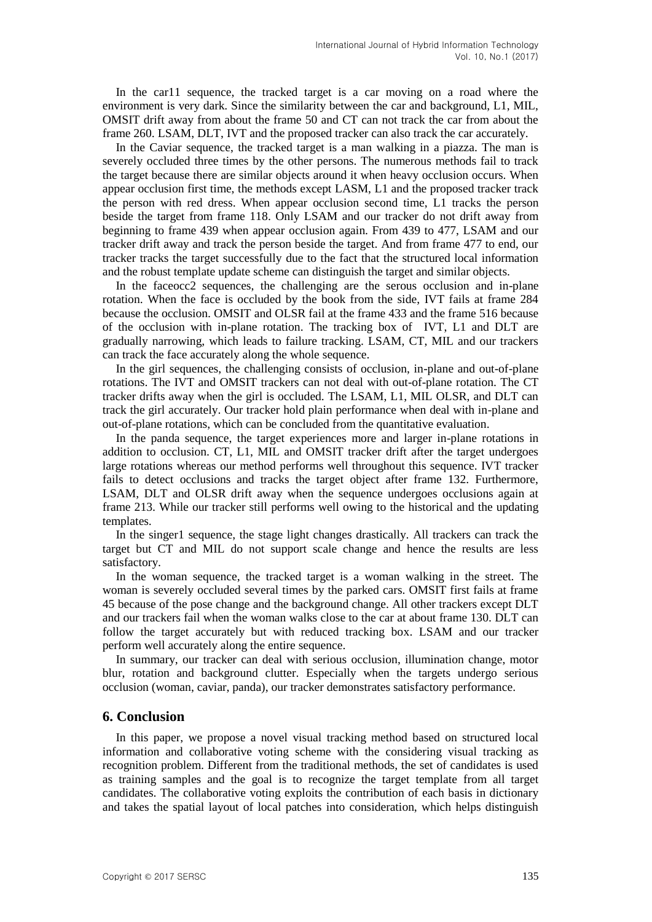In the car11 sequence, the tracked target is a car moving on a road where the environment is very dark. Since the similarity between the car and background, L1, MIL, OMSIT drift away from about the frame 50 and CT can not track the car from about the frame 260. LSAM, DLT, IVT and the proposed tracker can also track the car accurately.

In the Caviar sequence, the tracked target is a man walking in a piazza. The man is severely occluded three times by the other persons. The numerous methods fail to track the target because there are similar objects around it when heavy occlusion occurs. When appear occlusion first time, the methods except LASM, L1 and the proposed tracker track the person with red dress. When appear occlusion second time, L1 tracks the person beside the target from frame 118. Only LSAM and our tracker do not drift away from beginning to frame 439 when appear occlusion again. From 439 to 477, LSAM and our tracker drift away and track the person beside the target. And from frame 477 to end, our tracker tracks the target successfully due to the fact that the structured local information and the robust template update scheme can distinguish the target and similar objects.

In the faceocc2 sequences, the challenging are the serous occlusion and in-plane rotation. When the face is occluded by the book from the side, IVT fails at frame 284 because the occlusion. OMSIT and OLSR fail at the frame 433 and the frame 516 because of the occlusion with in-plane rotation. The tracking box of IVT, L1 and DLT are gradually narrowing, which leads to failure tracking. LSAM, CT, MIL and our trackers can track the face accurately along the whole sequence.

In the girl sequences, the challenging consists of occlusion, in-plane and out-of-plane rotations. The IVT and OMSIT trackers can not deal with out-of-plane rotation. The CT tracker drifts away when the girl is occluded. The LSAM, L1, MIL OLSR, and DLT can track the girl accurately. Our tracker hold plain performance when deal with in-plane and out-of-plane rotations, which can be concluded from the quantitative evaluation.

In the panda sequence, the target experiences more and larger in-plane rotations in addition to occlusion. CT, L1, MIL and OMSIT tracker drift after the target undergoes large rotations whereas our method performs well throughout this sequence. IVT tracker fails to detect occlusions and tracks the target object after frame 132. Furthermore, LSAM, DLT and OLSR drift away when the sequence undergoes occlusions again at frame 213. While our tracker still performs well owing to the historical and the updating templates.

In the singer1 sequence, the stage light changes drastically. All trackers can track the target but CT and MIL do not support scale change and hence the results are less satisfactory.

In the woman sequence, the tracked target is a woman walking in the street. The woman is severely occluded several times by the parked cars. OMSIT first fails at frame 45 because of the pose change and the background change. All other trackers except DLT and our trackers fail when the woman walks close to the car at about frame 130. DLT can follow the target accurately but with reduced tracking box. LSAM and our tracker perform well accurately along the entire sequence.

In summary, our tracker can deal with serious occlusion, illumination change, motor blur, rotation and background clutter. Especially when the targets undergo serious occlusion (woman, caviar, panda), our tracker demonstrates satisfactory performance.

### **6. Conclusion**

In this paper, we propose a novel visual tracking method based on structured local information and collaborative voting scheme with the considering visual tracking as recognition problem. Different from the traditional methods, the set of candidates is used as training samples and the goal is to recognize the target template from all target candidates. The collaborative voting exploits the contribution of each basis in dictionary and takes the spatial layout of local patches into consideration, which helps distinguish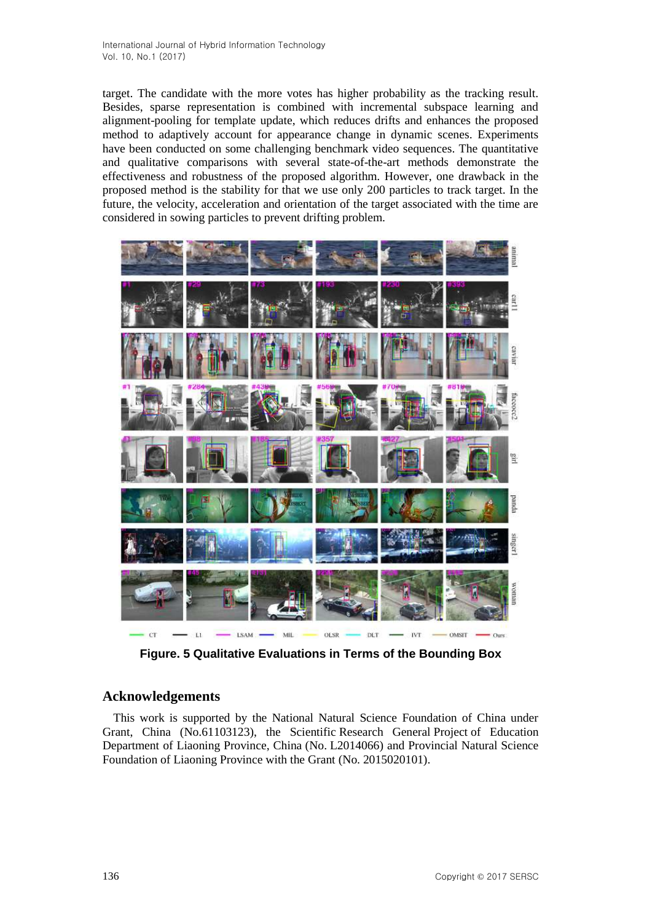target. The candidate with the more votes has higher probability as the tracking result. Besides, sparse representation is combined with incremental subspace learning and alignment-pooling for template update, which reduces drifts and enhances the proposed method to adaptively account for appearance change in dynamic scenes. Experiments have been conducted on some challenging benchmark video sequences. The quantitative and qualitative comparisons with several state-of-the-art methods demonstrate the effectiveness and robustness of the proposed algorithm. However, one drawback in the proposed method is the stability for that we use only 200 particles to track target. In the future, the velocity, acceleration and orientation of the target associated with the time are considered in sowing particles to prevent drifting problem.



**Figure. 5 Qualitative Evaluations in Terms of the Bounding Box**

# **Acknowledgements**

This work is supported by the National Natural Science Foundation of China under Grant, China (No.61103123), the Scientific Research General Project of Education Department of Liaoning Province, China (No. L2014066) and Provincial Natural Science Foundation of Liaoning Province with the Grant (No. 2015020101).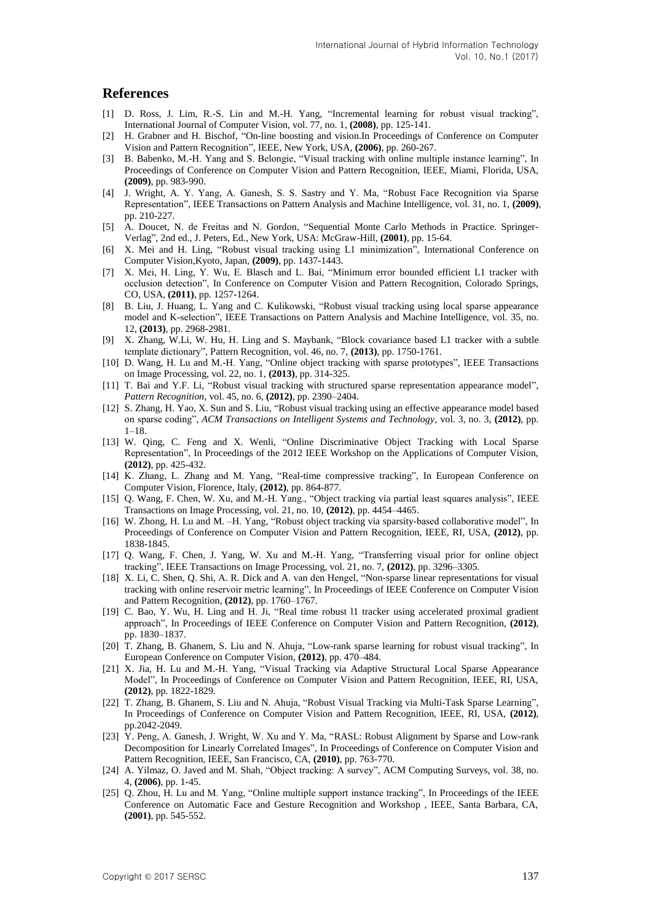### **References**

- [1] D. Ross, J. Lim, R.-S. Lin and M.-H. Yang, "Incremental learning for robust visual tracking", International Journal of Computer Vision, vol. 77, no. 1, **(2008)**, pp. 125-141.
- [2] H. Grabner and H. Bischof, "On-line boosting and vision.In Proceedings of Conference on Computer Vision and Pattern Recognition", IEEE, New York, USA, **(2006)**, pp. 260-267.
- [3] B. Babenko, M.-H. Yang and S. Belongie, "Visual tracking with online multiple instance learning", In Proceedings of Conference on Computer Vision and Pattern Recognition, IEEE, Miami, Florida, USA, **(2009)**, pp. 983-990.
- [4] J. Wright, A. Y. Yang, A. Ganesh, S. S. Sastry and Y. Ma, "Robust Face Recognition via Sparse Representation", IEEE Transactions on Pattern Analysis and Machine Intelligence, vol. 31, no. 1, **(2009)**, pp. 210-227.
- [5] A. Doucet, N. de Freitas and N. Gordon, "Sequential Monte Carlo Methods in Practice. Springer-Verlag", 2nd ed., J. Peters, Ed., New York, USA: McGraw-Hill, **(2001)**, pp. 15-64.
- [6] X. Mei and H. Ling, "Robust visual tracking using L1 minimization", International Conference on Computer Vision,Kyoto, Japan, **(2009)**, pp. 1437-1443.
- [7] X. Mei, H. Ling, Y. Wu, E. Blasch and L. Bai, "Minimum error bounded efficient L1 tracker with occlusion detection", In Conference on Computer Vision and Pattern Recognition, Colorado Springs, CO, USA, **(2011)**, pp. 1257-1264.
- [8] B. Liu, J. Huang, L. Yang and C. Kulikowski, "Robust visual tracking using local sparse appearance model and K-selection", IEEE Transactions on Pattern Analysis and Machine Intelligence, vol. 35, no. 12, **(2013)**, pp. 2968-2981.
- [9] X. Zhang, W.Li, W. Hu, H. Ling and S. Maybank, "Block covariance based L1 tracker with a subtle template dictionary", Pattern Recognition, vol. 46, no. 7, **(2013)**, pp. 1750-1761.
- [10] D. Wang, H. Lu and M.-H. Yang, "Online object tracking with sparse prototypes", IEEE Transactions on Image Processing, vol. 22, no. 1, **(2013)**, pp. 314-325.
- [11] T. Bai and Y.F. Li, "Robust visual tracking with structured sparse representation appearance model", *Pattern Recognition*, vol. 45, no. 6, **(2012)**, pp. 2390–2404.
- [12] S. Zhang, H. Yao, X. Sun and S. Liu, "Robust visual tracking using an effective appearance model based on sparse coding", *ACM Transactions on Intelligent Systems and Technology*, vol. 3, no. 3, **(2012)**, pp. 1–18.
- [13] W. Qing, C. Feng and X. Wenli, "Online Discriminative Object Tracking with Local Sparse Representation", In Proceedings of the 2012 IEEE Workshop on the Applications of Computer Vision, **(2012)**, pp. 425-432.
- [14] K. Zhang, L. Zhang and M. Yang, "Real-time compressive tracking", In European Conference on Computer Vision, Florence, Italy, **(2012)**, pp. 864-877.
- [15] Q. Wang, F. Chen, W. Xu, and M.-H. Yang., "Object tracking via partial least squares analysis", IEEE Transactions on Image Processing, vol. 21, no. 10, **(2012)**, pp. 4454–4465.
- [16] W. Zhong, H. Lu and M. –H. Yang, "Robust object tracking via sparsity-based collaborative model", In Proceedings of Conference on Computer Vision and Pattern Recognition, IEEE, RI, USA, **(2012)**, pp. 1838-1845.
- [17] Q. Wang, F. Chen, J. Yang, W. Xu and M.-H. Yang, "Transferring visual prior for online object tracking", IEEE Transactions on Image Processing, vol. 21, no. 7, **(2012)**, pp. 3296–3305.
- [18] X. Li, C. Shen, Q. Shi, A. R. Dick and A. van den Hengel, "Non-sparse linear representations for visual tracking with online reservoir metric learning", In Proceedings of IEEE Conference on Computer Vision and Pattern Recognition, **(2012)**, pp. 1760–1767.
- [19] C. Bao, Y. Wu, H. Ling and H. Ji, "Real time robust l1 tracker using accelerated proximal gradient approach", In Proceedings of IEEE Conference on Computer Vision and Pattern Recognition, **(2012)**, pp. 1830–1837.
- [20] T. Zhang, B. Ghanem, S. Liu and N. Ahuja, "Low-rank sparse learning for robust visual tracking", In European Conference on Computer Vision, **(2012)**, pp. 470–484.
- [21] X. Jia, H. Lu and M.-H. Yang, "Visual Tracking via Adaptive Structural Local Sparse Appearance Model", In Proceedings of Conference on Computer Vision and Pattern Recognition, IEEE, RI, USA, **(2012)**, pp. 1822-1829.
- [22] T. Zhang, B. Ghanem, S. Liu and N. Ahuja, "Robust Visual Tracking via Multi-Task Sparse Learning", In Proceedings of Conference on Computer Vision and Pattern Recognition, IEEE, RI, USA, **(2012)**, pp.2042-2049.
- [23] Y. Peng, A. Ganesh, J. Wright, W. Xu and Y. Ma, "RASL: Robust Alignment by Sparse and Low-rank Decomposition for Linearly Correlated Images", In Proceedings of Conference on Computer Vision and Pattern Recognition, IEEE, San Francisco, CA, **(2010)**, pp. 763-770.
- [24] A. Yilmaz, O. Javed and M. Shah, "Object tracking: A survey", ACM Computing Surveys, vol. 38, no. 4, **(2006)**, pp. 1-45.
- [25] Q. Zhou, H. Lu and M. Yang, "Online multiple support instance tracking", In Proceedings of the IEEE Conference on Automatic Face and Gesture Recognition and Workshop , IEEE, Santa Barbara, CA, **(2001)**, pp. 545-552.